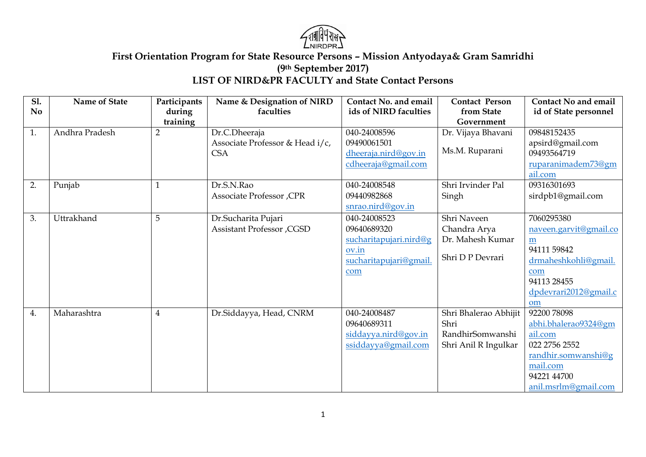

## **First Orientation Program for State Resource Persons – Mission Antyodaya& Gram Samridhi (9th September 2017) LIST OF NIRD&PR FACULTY and State Contact Persons**

| <b>S1.</b> | Name of State  | Participants   | Name & Designation of NIRD        | <b>Contact No. and email</b> | <b>Contact Person</b> | <b>Contact No and email</b> |
|------------|----------------|----------------|-----------------------------------|------------------------------|-----------------------|-----------------------------|
| No.        |                | during         | faculties                         | ids of NIRD faculties        | from State            | id of State personnel       |
|            |                | training       |                                   |                              | Government            |                             |
| 1.         | Andhra Pradesh | $\overline{2}$ | Dr.C.Dheeraja                     | 040-24008596                 | Dr. Vijaya Bhavani    | 09848152435                 |
|            |                |                | Associate Professor & Head i/c,   | 09490061501                  |                       | apsird@gmail.com            |
|            |                |                | <b>CSA</b>                        | dheeraja.nird@gov.in         | Ms.M. Ruparani        | 09493564719                 |
|            |                |                |                                   | cdheeraja@gmail.com          |                       | ruparanimadem73@gm          |
|            |                |                |                                   |                              |                       | ail.com                     |
| 2.         | Punjab         | $\mathbf{1}$   | Dr.S.N.Rao                        | 040-24008548                 | Shri Irvinder Pal     | 09316301693                 |
|            |                |                | Associate Professor, CPR          | 09440982868                  | Singh                 | sirdpb1@gmail.com           |
|            |                |                |                                   | snrao.nird@gov.in            |                       |                             |
| 3.         | Uttrakhand     | 5              | Dr.Sucharita Pujari               | 040-24008523                 | Shri Naveen           | 7060295380                  |
|            |                |                | <b>Assistant Professor , CGSD</b> | 09640689320                  | Chandra Arya          | naveen.garvit@gmail.co      |
|            |                |                |                                   | sucharitapujari.nird@g       | Dr. Mahesh Kumar      | m                           |
|            |                |                |                                   | ov.in                        |                       | 94111 59842                 |
|            |                |                |                                   | sucharitapujari@gmail.       | Shri D P Devrari      | drmaheshkohli@gmail.        |
|            |                |                |                                   | com                          |                       | com                         |
|            |                |                |                                   |                              |                       | 94113 28455                 |
|            |                |                |                                   |                              |                       | dpdevrari2012@gmail.c       |
|            |                |                |                                   |                              |                       | om                          |
| 4.         | Maharashtra    | $\overline{4}$ | Dr.Siddayya, Head, CNRM           | 040-24008487                 | Shri Bhalerao Abhijit | 92200 78098                 |
|            |                |                |                                   | 09640689311                  | Shri                  | abhi.bhalerao9324@gm        |
|            |                |                |                                   | siddayya.nird@gov.in         | RandhirSomwanshi      | ail.com                     |
|            |                |                |                                   | ssiddayya@gmail.com          | Shri Anil R Ingulkar  | 022 2756 2552               |
|            |                |                |                                   |                              |                       | randhir.somwanshi@g         |
|            |                |                |                                   |                              |                       | mail.com                    |
|            |                |                |                                   |                              |                       | 94221 44700                 |
|            |                |                |                                   |                              |                       | anil.msrlm@gmail.com        |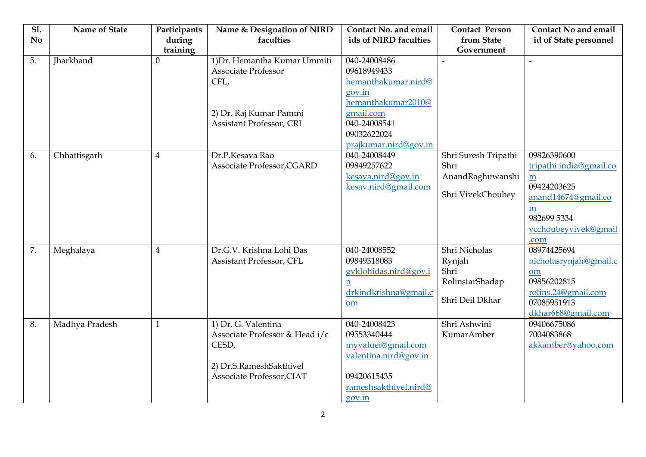| <b>S1.</b><br><b>No</b> | Name of State    | Participants<br>during | Name & Designation of NIRD<br>faculties                                                                                  | <b>Contact No. and email</b><br>ids of NIRD faculties                                                                        | <b>Contact Person</b><br>from State                                   | <b>Contact No and email</b><br>id of State personnel                                                                   |
|-------------------------|------------------|------------------------|--------------------------------------------------------------------------------------------------------------------------|------------------------------------------------------------------------------------------------------------------------------|-----------------------------------------------------------------------|------------------------------------------------------------------------------------------------------------------------|
| 5.                      | <b>Iharkhand</b> | training<br>$\Omega$   | 1) Dr. Hemantha Kumar Ummiti<br><b>Associate Professor</b><br>CFL,<br>2) Dr. Raj Kumar Pammi<br>Assistant Professor, CRI | 040-24008486<br>09618949433<br>hemanthakumar.nird@<br>gov.in<br>hemanthakumar2010@<br>gmail.com<br>040-24008541              | Government                                                            | $\overline{a}$                                                                                                         |
| 6.                      | Chhattisgarh     | $\overline{4}$         | Dr.P.Kesava Rao                                                                                                          | 09032622024<br>prajkumar.nird@gov.in<br>040-24008449                                                                         | Shri Suresh Tripathi                                                  | 09826390600                                                                                                            |
|                         |                  |                        | Associate Professor, CGARD                                                                                               | 09849257622<br>kesava.nird@gov.in<br>kesav.nird@gmail.com                                                                    | Shri<br>AnandRaghuwanshi<br>Shri VivekChoubey                         | tripathi.india@gmail.co<br>m<br>09424203625<br>anand14674@gmail.co<br>m<br>982699 5334<br>vcchoubeyvivek@gmail<br>.com |
| 7.                      | Meghalaya        | $\overline{4}$         | Dr.G.V. Krishna Lohi Das<br>Assistant Professor, CFL                                                                     | 040-24008552<br>09849318083<br>gyklohidas.nird@gov.i<br>n<br>drkindkrishna@gmail.c<br>om                                     | Shri Nicholas<br>Rynjah<br>Shri<br>RolinstarShadap<br>Shri Deil Dkhar | 08974425694<br>nicholasrynjah@gmail.c<br>om<br>09856202815<br>rolins.24@gmail.com<br>07085951913<br>dkhar668@gmail.com |
| 8.                      | Madhya Pradesh   | $\mathbf{1}$           | 1) Dr. G. Valentina<br>Associate Professor & Head i/c<br>CESD,<br>2) Dr.S.RameshSakthivel<br>Associate Professor, CIAT   | 040-24008423<br>09553340444<br>myvaluei@gmail.com<br>valentina.nird@gov.in<br>09420615435<br>rameshsakthivel.nird@<br>gov.in | Shri Ashwini<br>KumarAmber                                            | 09406675086<br>7004083868<br>akkamber@yahoo.com                                                                        |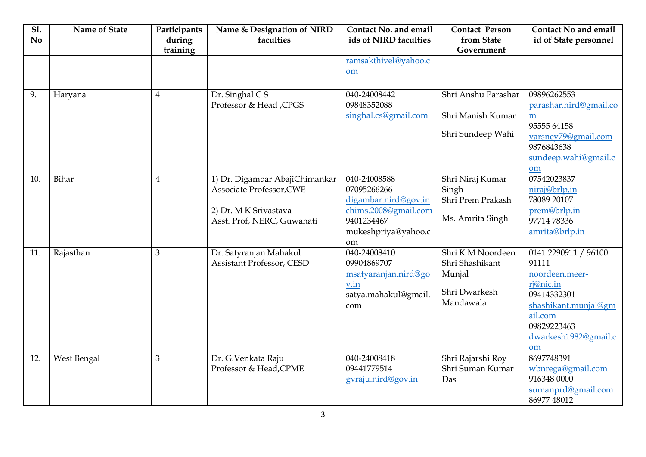| <b>S1.</b><br>N <sub>o</sub> | <b>Name of State</b> | Participants<br>during<br>training | Name & Designation of NIRD<br>faculties                                                                           | <b>Contact No. and email</b><br>ids of NIRD faculties                                                                  | <b>Contact Person</b><br>from State<br>Government                           | <b>Contact No and email</b><br>id of State personnel                                                                                                        |
|------------------------------|----------------------|------------------------------------|-------------------------------------------------------------------------------------------------------------------|------------------------------------------------------------------------------------------------------------------------|-----------------------------------------------------------------------------|-------------------------------------------------------------------------------------------------------------------------------------------------------------|
|                              |                      |                                    |                                                                                                                   | ramsakthivel@yahoo.c<br>om                                                                                             |                                                                             |                                                                                                                                                             |
| 9.                           | Haryana              | $\overline{4}$                     | Dr. Singhal CS<br>Professor & Head ,CPGS                                                                          | 040-24008442<br>09848352088<br>singhal.cs@gmail.com                                                                    | Shri Anshu Parashar<br>Shri Manish Kumar<br>Shri Sundeep Wahi               | 09896262553<br>parashar.hird@gmail.co<br>m<br>95555 64158<br>varsney79@gmail.com<br>9876843638<br>sundeep.wahi@gmail.c<br>om                                |
| 10.                          | Bihar                | $\overline{4}$                     | 1) Dr. Digambar AbajiChimankar<br>Associate Professor, CWE<br>2) Dr. M K Srivastava<br>Asst. Prof, NERC, Guwahati | 040-24008588<br>07095266266<br>digambar.nird@gov.in<br>chims.2008@gmail.com<br>9401234467<br>mukeshpriya@yahoo.c<br>om | Shri Niraj Kumar<br>Singh<br>Shri Prem Prakash<br>Ms. Amrita Singh          | 07542023837<br>niraj@brlp.in<br>78089 20107<br>prem@brlp.in<br>97714 78336<br>amrita@brlp.in                                                                |
| 11.                          | Rajasthan            | $\mathfrak{Z}$                     | Dr. Satyranjan Mahakul<br><b>Assistant Professor, CESD</b>                                                        | 040-24008410<br>09904869707<br>msatyaranjan.nird@go<br>v.in<br>satya.mahakul@gmail.<br>com                             | Shri KM Noordeen<br>Shri Shashikant<br>Munjal<br>Shri Dwarkesh<br>Mandawala | 0141 2290911 / 96100<br>91111<br>noordeen.meer-<br>rj@nic.in<br>09414332301<br>shashikant.munjal@gm<br>ail.com<br>09829223463<br>dwarkesh1982@gmail.c<br>om |
| 12.                          | West Bengal          | $\mathfrak{Z}$                     | Dr. G.Venkata Raju<br>Professor & Head, CPME                                                                      | 040-24008418<br>09441779514<br>gyraju.nird@gov.in                                                                      | Shri Rajarshi Roy<br>Shri Suman Kumar<br>Das                                | 8697748391<br>wbnrega@gmail.com<br>916348 0000<br>sumanprd@gmail.com<br>86977 48012                                                                         |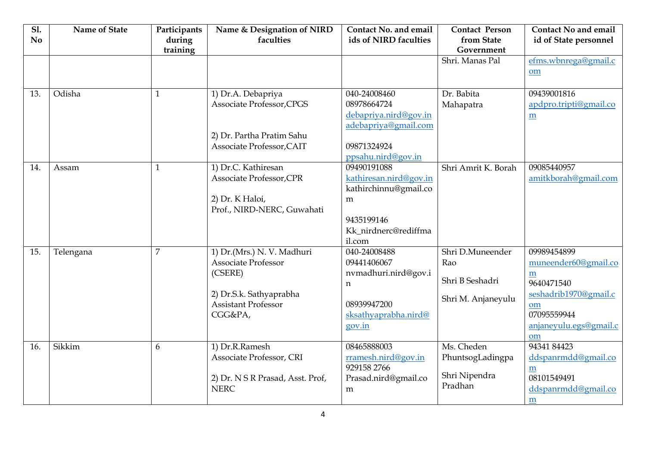| <b>S1.</b><br>N <sub>0</sub> | Name of State | Participants<br>during<br>training | Name & Designation of NIRD<br>faculties                                                                                                 | <b>Contact No. and email</b><br>ids of NIRD faculties                                                                       | <b>Contact Person</b><br>from State<br>Government                | <b>Contact No and email</b><br>id of State personnel                                                                                               |
|------------------------------|---------------|------------------------------------|-----------------------------------------------------------------------------------------------------------------------------------------|-----------------------------------------------------------------------------------------------------------------------------|------------------------------------------------------------------|----------------------------------------------------------------------------------------------------------------------------------------------------|
|                              |               |                                    |                                                                                                                                         |                                                                                                                             | Shri, Manas Pal                                                  | efms.wbnrega@gmail.c<br>$om$                                                                                                                       |
| 13.                          | Odisha        | $\mathbf{1}$                       | 1) Dr.A. Debapriya<br>Associate Professor, CPGS<br>2) Dr. Partha Pratim Sahu<br>Associate Professor, CAIT                               | 040-24008460<br>08978664724<br>debapriya.nird@gov.in<br>adebapriya@gmail.com<br>09871324924<br>ppsahu.nird@gov.in           | Dr. Babita<br>Mahapatra                                          | 09439001816<br>apdpro.tripti@gmail.co<br>$\underline{m}$                                                                                           |
| 14.                          | Assam         | $\mathbf{1}$                       | 1) Dr.C. Kathiresan<br>Associate Professor, CPR<br>2) Dr. K Haloi,<br>Prof., NIRD-NERC, Guwahati                                        | 09490191088<br>kathiresan.nird@gov.in<br>kathirchinnu@gmail.co<br>${\bf m}$<br>9435199146<br>Kk_nirdnerc@rediffma<br>il.com | Shri Amrit K. Borah                                              | 09085440957<br>amitkborah@gmail.com                                                                                                                |
| 15.                          | Telengana     | $\overline{7}$                     | 1) Dr.(Mrs.) N. V. Madhuri<br><b>Associate Professor</b><br>(CSERE)<br>2) Dr.S.k. Sathyaprabha<br><b>Assistant Professor</b><br>CGG&PA, | 040-24008488<br>09441406067<br>nvmadhuri.nird@gov.i<br>n<br>08939947200<br>sksathyaprabha.nird@<br>gov.in                   | Shri D.Muneender<br>Rao<br>Shri B Seshadri<br>Shri M. Anjaneyulu | 09989454899<br>muneender60@gmail.co<br>$\underline{m}$<br>9640471540<br>seshadrib1970@gmail.c<br>om<br>07095559944<br>anjaneyulu.egs@gmail.c<br>om |
| 16.                          | Sikkim        | 6                                  | 1) Dr.R.Ramesh<br>Associate Professor, CRI<br>2) Dr. N S R Prasad, Asst. Prof,<br><b>NERC</b>                                           | 08465888003<br>rramesh.nird@gov.in<br>929158 2766<br>Prasad.nird@gmail.co<br>m                                              | Ms. Cheden<br>PhuntsogLadingpa<br>Shri Nipendra<br>Pradhan       | 9434184423<br>ddspanrmdd@gmail.co<br>$\underline{m}$<br>08101549491<br>ddspanrmdd@gmail.co<br>m                                                    |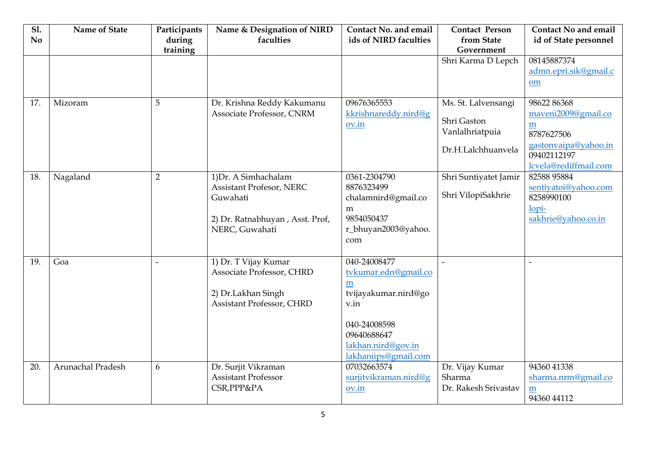| <b>S1.</b><br>N <sub>0</sub> | Name of State     | Participants<br>during<br>training | Name & Designation of NIRD<br>faculties                                                                                  | Contact No. and email<br>ids of NIRD faculties                                                                                                         | <b>Contact Person</b><br>from State<br>Government                           | <b>Contact No and email</b><br>id of State personnel                                                                                                     |
|------------------------------|-------------------|------------------------------------|--------------------------------------------------------------------------------------------------------------------------|--------------------------------------------------------------------------------------------------------------------------------------------------------|-----------------------------------------------------------------------------|----------------------------------------------------------------------------------------------------------------------------------------------------------|
|                              |                   |                                    |                                                                                                                          |                                                                                                                                                        | Shri Karma D Lepch                                                          | 08145887374<br>admn.epri.sik@gmail.c<br>om                                                                                                               |
| 17.                          | Mizoram           | 5                                  | Dr. Krishna Reddy Kakumanu<br>Associate Professor, CNRM                                                                  | 09676365553<br>kkrishnareddy.nird@g<br>ov.in                                                                                                           | Ms. St. Lalvensangi<br>Shri Gaston<br>Vanlalhriatpuia<br>Dr.H.Lalchhuanvela | 98622 86368<br>maveni2009@gmail.co<br>$\underline{\underline{\mathbf{m}}}$<br>8787627506<br>gastonvaipa@yahoo.in<br>09402112197<br>lcvela@rediffmail.com |
| 18.                          | Nagaland          | $\overline{2}$                     | 1) Dr. A Simhachalam<br><b>Assistant Profesor, NERC</b><br>Guwahati<br>2) Dr. Ratnabhuyan, Asst. Prof,<br>NERC, Guwahati | 0361-2304790<br>8876323499<br>chalamnird@gmail.co<br>m<br>9854050437<br>r_bhuyan2003@yahoo.<br>com                                                     | Shri Suntiyatet Jamir<br>Shri VilopiSakhrie                                 | 82588 95884<br>sentiyatoi@yahoo.com<br>8258990100<br>lopi-<br>sakhrie@yahoo.co.in                                                                        |
| 19.                          | Goa               | $\overline{a}$                     | 1) Dr. T Vijay Kumar<br>Associate Professor, CHRD<br>2) Dr.Lakhan Singh<br>Assistant Professor, CHRD                     | 040-24008477<br>tvkumar.edn@gmail.co<br>m<br>tvijayakumar.nird@go<br>v.in<br>040-24008598<br>09640688647<br>lakhan.nird@gov.in<br>lakhaniips@gmail.com |                                                                             |                                                                                                                                                          |
| 20.                          | Arunachal Pradesh | 6                                  | Dr. Surjit Vikraman<br><b>Assistant Professor</b><br>CSR, PPP&PA                                                         | 07032663574<br>surjitvikraman.nird@g<br>ov.in                                                                                                          | Dr. Vijay Kumar<br>Sharma<br>Dr. Rakesh Srivastav                           | 94360 41338<br>sharma.nrm@gmail.co<br>m<br>94360 44112                                                                                                   |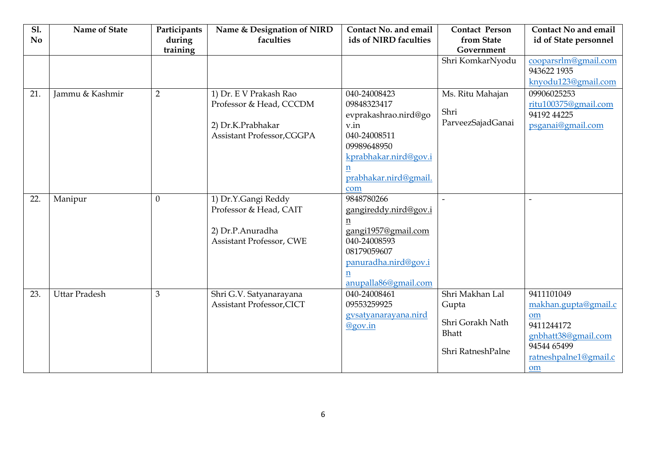| <b>S1.</b><br><b>No</b> | Name of State        | Participants<br>during | Name & Designation of NIRD<br>faculties | Contact No. and email<br>ids of NIRD faculties | <b>Contact Person</b><br>from State | <b>Contact No and email</b><br>id of State personnel |
|-------------------------|----------------------|------------------------|-----------------------------------------|------------------------------------------------|-------------------------------------|------------------------------------------------------|
|                         |                      | training               |                                         |                                                | Government                          |                                                      |
|                         |                      |                        |                                         |                                                | Shri KomkarNyodu                    | cooparsrlm@gmail.com                                 |
|                         |                      |                        |                                         |                                                |                                     | 943622 1935                                          |
|                         |                      |                        |                                         |                                                |                                     | knyodu123@gmail.com                                  |
| 21.                     | Jammu & Kashmir      | $\overline{2}$         | 1) Dr. E V Prakash Rao                  | 040-24008423                                   | Ms. Ritu Mahajan                    | 09906025253                                          |
|                         |                      |                        | Professor & Head, CCCDM                 | 09848323417                                    |                                     | ritu100375@gmail.com                                 |
|                         |                      |                        |                                         | evprakashrao.nird@go                           | Shri                                | 94192 44225                                          |
|                         |                      |                        | 2) Dr.K.Prabhakar                       | v.in                                           | ParveezSajadGanai                   | psganai@gmail.com                                    |
|                         |                      |                        | Assistant Professor, CGGPA              | 040-24008511                                   |                                     |                                                      |
|                         |                      |                        |                                         | 09989648950                                    |                                     |                                                      |
|                         |                      |                        |                                         | kprabhakar.nird@gov.i                          |                                     |                                                      |
|                         |                      |                        |                                         | n                                              |                                     |                                                      |
|                         |                      |                        |                                         | prabhakar.nird@gmail.                          |                                     |                                                      |
|                         |                      |                        |                                         | com                                            |                                     |                                                      |
| 22.                     | Manipur              | $\theta$               | 1) Dr.Y.Gangi Reddy                     | 9848780266                                     |                                     |                                                      |
|                         |                      |                        | Professor & Head, CAIT                  | gangireddy.nird@gov.i                          |                                     |                                                      |
|                         |                      |                        |                                         | n                                              |                                     |                                                      |
|                         |                      |                        | 2) Dr.P.Anuradha                        | gangi1957@gmail.com                            |                                     |                                                      |
|                         |                      |                        | <b>Assistant Professor, CWE</b>         | 040-24008593                                   |                                     |                                                      |
|                         |                      |                        |                                         | 08179059607                                    |                                     |                                                      |
|                         |                      |                        |                                         | panuradha.nird@gov.i                           |                                     |                                                      |
|                         |                      |                        |                                         | n                                              |                                     |                                                      |
|                         |                      |                        |                                         | anupalla86@gmail.com                           |                                     |                                                      |
| 23.                     | <b>Uttar Pradesh</b> | 3                      | Shri G.V. Satyanarayana                 | 040-24008461                                   | Shri Makhan Lal                     | 9411101049                                           |
|                         |                      |                        | <b>Assistant Professor, CICT</b>        | 09553259925                                    | Gupta                               | makhan.gupta@gmail.c                                 |
|                         |                      |                        |                                         | gysatyanarayana.nird                           | Shri Gorakh Nath                    | om                                                   |
|                         |                      |                        |                                         | @gov.in                                        | <b>Bhatt</b>                        | 9411244172                                           |
|                         |                      |                        |                                         |                                                |                                     | gnbhatt38@gmail.com                                  |
|                         |                      |                        |                                         |                                                | Shri RatneshPalne                   | 94544 65499                                          |
|                         |                      |                        |                                         |                                                |                                     | ratneshpalne1@gmail.c                                |
|                         |                      |                        |                                         |                                                |                                     | om                                                   |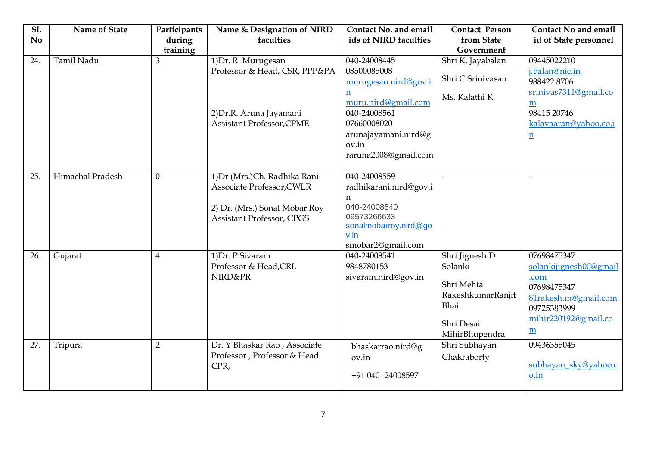| <b>S1.</b> | Name of State     | Participants   | Name & Designation of NIRD       | <b>Contact No. and email</b> | <b>Contact Person</b>           | <b>Contact No and email</b> |
|------------|-------------------|----------------|----------------------------------|------------------------------|---------------------------------|-----------------------------|
| <b>No</b>  |                   | during         | faculties                        | ids of NIRD faculties        | from State                      | id of State personnel       |
| 24.        | <b>Tamil Nadu</b> | training<br>3  | 1) Dr. R. Murugesan              | 040-24008445                 | Government<br>Shri K. Jayabalan | 09445022210                 |
|            |                   |                | Professor & Head, CSR, PPP&PA    | 08500085008                  |                                 | j.balan@nic.in              |
|            |                   |                |                                  | murugesan.nird@gov.i         | Shri C Srinivasan               | 9884228706                  |
|            |                   |                |                                  | $\underline{n}$              |                                 | srinivas7311@gmail.co       |
|            |                   |                |                                  | muru.nird@gmail.com          | Ms. Kalathi K                   | m                           |
|            |                   |                | 2) Dr.R. Aruna Jayamani          | 040-24008561                 |                                 | 98415 20746                 |
|            |                   |                | <b>Assistant Professor, CPME</b> | 07660008020                  |                                 | kalavaaran@yahoo.co.i       |
|            |                   |                |                                  | arunajayamani.nird@g         |                                 | $\underline{n}$             |
|            |                   |                |                                  | ov.in                        |                                 |                             |
|            |                   |                |                                  | raruna2008@gmail.com         |                                 |                             |
| 25.        | Himachal Pradesh  | $\theta$       | 1) Dr (Mrs.) Ch. Radhika Rani    | 040-24008559                 |                                 |                             |
|            |                   |                | Associate Professor, CWLR        | radhikarani.nird@gov.i       |                                 |                             |
|            |                   |                |                                  | n                            |                                 |                             |
|            |                   |                | 2) Dr. (Mrs.) Sonal Mobar Roy    | 040-24008540                 |                                 |                             |
|            |                   |                | <b>Assistant Professor, CPGS</b> | 09573266633                  |                                 |                             |
|            |                   |                |                                  | sonalmobarroy.nird@go        |                                 |                             |
|            |                   |                |                                  | v.in<br>smobar2@gmail.com    |                                 |                             |
| 26.        | Gujarat           | $\overline{4}$ | 1) Dr. P Sivaram                 | 040-24008541                 | Shri Jignesh D                  | 07698475347                 |
|            |                   |                | Professor & Head, CRI,           | 9848780153                   | Solanki                         | solankijignesh00@gmail      |
|            |                   |                | NIRD&PR                          | sivaram.nird@gov.in          |                                 | .com                        |
|            |                   |                |                                  |                              | Shri Mehta                      | 07698475347                 |
|            |                   |                |                                  |                              | RakeshkumarRanjit               | 81rakesh.m@gmail.com        |
|            |                   |                |                                  |                              | Bhai                            | 09725383999                 |
|            |                   |                |                                  |                              | Shri Desai                      | mihir220192@gmail.co        |
|            |                   |                |                                  |                              | MihirBhupendra                  | m                           |
| 27.        | Tripura           | $\overline{2}$ | Dr. Y Bhaskar Rao, Associate     | bhaskarrao.nird@g            | Shri Subhayan                   | 09436355045                 |
|            |                   |                | Professor, Professor & Head      | ov.in                        | Chakraborty                     |                             |
|            |                   |                | CPR,                             | +91 040-24008597             |                                 | subhayan_sky@yahoo.c        |
|            |                   |                |                                  |                              |                                 | o.in                        |